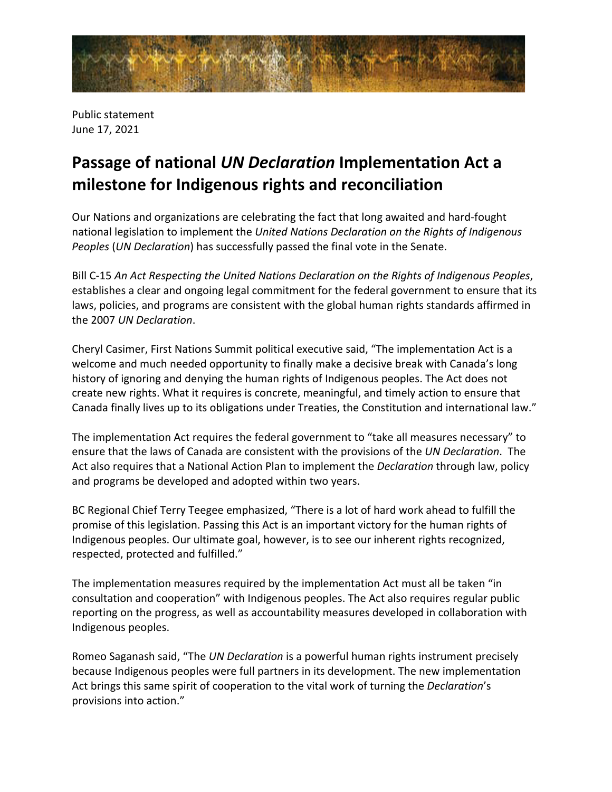

Public statement June 17, 2021

## **Passage of national** *UN Declaration* **Implementation Act a milestone for Indigenous rights and reconciliation**

Our Nations and organizations are celebrating the fact that long awaited and hard-fought national legislation to implement the *United Nations Declaration on the Rights of Indigenous Peoples* (*UN Declaration*) has successfully passed the final vote in the Senate.

Bill C-15 *An Act Respecting the United Nations Declaration on the Rights of Indigenous Peoples*, establishes a clear and ongoing legal commitment for the federal government to ensure that its laws, policies, and programs are consistent with the global human rights standards affirmed in the 2007 *UN Declaration*.

Cheryl Casimer, First Nations Summit political executive said, "The implementation Act is a welcome and much needed opportunity to finally make a decisive break with Canada's long history of ignoring and denying the human rights of Indigenous peoples. The Act does not create new rights. What it requires is concrete, meaningful, and timely action to ensure that Canada finally lives up to its obligations under Treaties, the Constitution and international law."

The implementation Act requires the federal government to "take all measures necessary" to ensure that the laws of Canada are consistent with the provisions of the *UN Declaration*. The Act also requires that a National Action Plan to implement the *Declaration* through law, policy and programs be developed and adopted within two years.

BC Regional Chief Terry Teegee emphasized, "There is a lot of hard work ahead to fulfill the promise of this legislation. Passing this Act is an important victory for the human rights of Indigenous peoples. Our ultimate goal, however, is to see our inherent rights recognized, respected, protected and fulfilled."

The implementation measures required by the implementation Act must all be taken "in consultation and cooperation" with Indigenous peoples. The Act also requires regular public reporting on the progress, as well as accountability measures developed in collaboration with Indigenous peoples.

Romeo Saganash said, "The *UN Declaration* is a powerful human rights instrument precisely because Indigenous peoples were full partners in its development. The new implementation Act brings this same spirit of cooperation to the vital work of turning the *Declaration*'s provisions into action."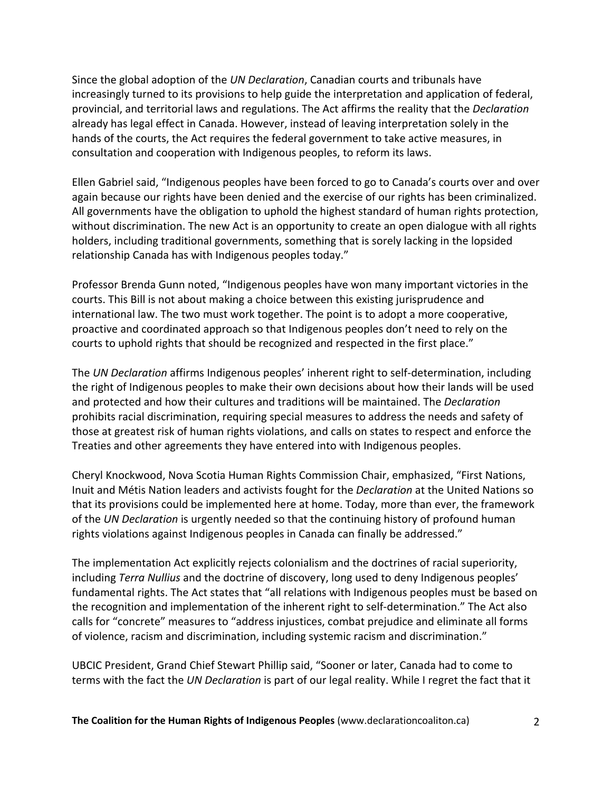Since the global adoption of the *UN Declaration*, Canadian courts and tribunals have increasingly turned to its provisions to help guide the interpretation and application of federal, provincial, and territorial laws and regulations. The Act affirms the reality that the *Declaration* already has legal effect in Canada. However, instead of leaving interpretation solely in the hands of the courts, the Act requires the federal government to take active measures, in consultation and cooperation with Indigenous peoples, to reform its laws.

Ellen Gabriel said, "Indigenous peoples have been forced to go to Canada's courts over and over again because our rights have been denied and the exercise of our rights has been criminalized. All governments have the obligation to uphold the highest standard of human rights protection, without discrimination. The new Act is an opportunity to create an open dialogue with all rights holders, including traditional governments, something that is sorely lacking in the lopsided relationship Canada has with Indigenous peoples today."

Professor Brenda Gunn noted, "Indigenous peoples have won many important victories in the courts. This Bill is not about making a choice between this existing jurisprudence and international law. The two must work together. The point is to adopt a more cooperative, proactive and coordinated approach so that Indigenous peoples don't need to rely on the courts to uphold rights that should be recognized and respected in the first place."

The *UN Declaration* affirms Indigenous peoples' inherent right to self-determination, including the right of Indigenous peoples to make their own decisions about how their lands will be used and protected and how their cultures and traditions will be maintained. The *Declaration* prohibits racial discrimination, requiring special measures to address the needs and safety of those at greatest risk of human rights violations, and calls on states to respect and enforce the Treaties and other agreements they have entered into with Indigenous peoples.

Cheryl Knockwood, Nova Scotia Human Rights Commission Chair, emphasized, "First Nations, Inuit and Métis Nation leaders and activists fought for the *Declaration* at the United Nations so that its provisions could be implemented here at home. Today, more than ever, the framework of the *UN Declaration* is urgently needed so that the continuing history of profound human rights violations against Indigenous peoples in Canada can finally be addressed."

The implementation Act explicitly rejects colonialism and the doctrines of racial superiority, including *Terra Nullius* and the doctrine of discovery, long used to deny Indigenous peoples' fundamental rights. The Act states that "all relations with Indigenous peoples must be based on the recognition and implementation of the inherent right to self-determination." The Act also calls for "concrete" measures to "address injustices, combat prejudice and eliminate all forms of violence, racism and discrimination, including systemic racism and discrimination."

UBCIC President, Grand Chief Stewart Phillip said, "Sooner or later, Canada had to come to terms with the fact the *UN Declaration* is part of our legal reality. While I regret the fact that it

**The Coalition for the Human Rights of Indigenous Peoples** (www.declarationcoaliton.ca) 2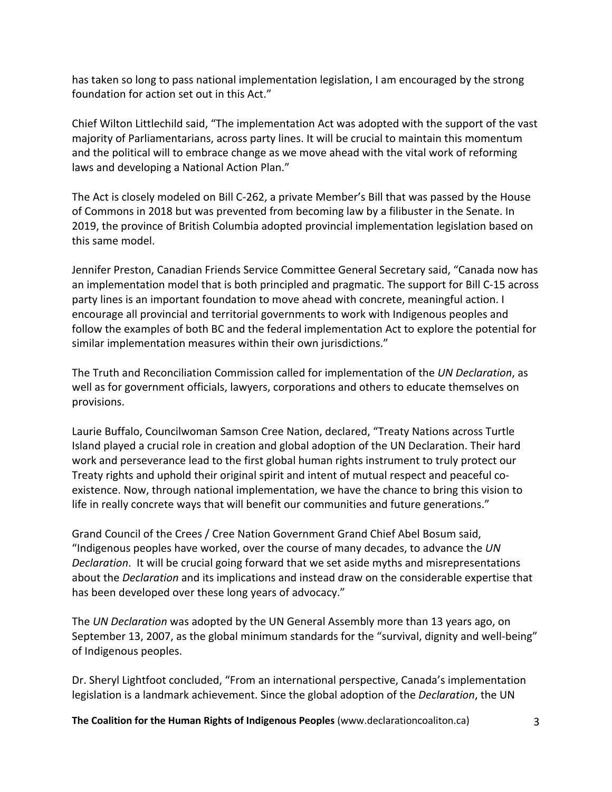has taken so long to pass national implementation legislation, I am encouraged by the strong foundation for action set out in this Act."

Chief Wilton Littlechild said, "The implementation Act was adopted with the support of the vast majority of Parliamentarians, across party lines. It will be crucial to maintain this momentum and the political will to embrace change as we move ahead with the vital work of reforming laws and developing a National Action Plan."

The Act is closely modeled on Bill C-262, a private Member's Bill that was passed by the House of Commons in 2018 but was prevented from becoming law by a filibuster in the Senate. In 2019, the province of British Columbia adopted provincial implementation legislation based on this same model.

Jennifer Preston, Canadian Friends Service Committee General Secretary said, "Canada now has an implementation model that is both principled and pragmatic. The support for Bill C-15 across party lines is an important foundation to move ahead with concrete, meaningful action. I encourage all provincial and territorial governments to work with Indigenous peoples and follow the examples of both BC and the federal implementation Act to explore the potential for similar implementation measures within their own jurisdictions."

The Truth and Reconciliation Commission called for implementation of the *UN Declaration*, as well as for government officials, lawyers, corporations and others to educate themselves on provisions.

Laurie Buffalo, Councilwoman Samson Cree Nation, declared, "Treaty Nations across Turtle Island played a crucial role in creation and global adoption of the UN Declaration. Their hard work and perseverance lead to the first global human rights instrument to truly protect our Treaty rights and uphold their original spirit and intent of mutual respect and peaceful coexistence. Now, through national implementation, we have the chance to bring this vision to life in really concrete ways that will benefit our communities and future generations."

Grand Council of the Crees / Cree Nation Government Grand Chief Abel Bosum said, "Indigenous peoples have worked, over the course of many decades, to advance the *UN Declaration*. It will be crucial going forward that we set aside myths and misrepresentations about the *Declaration* and its implications and instead draw on the considerable expertise that has been developed over these long years of advocacy."

The *UN Declaration* was adopted by the UN General Assembly more than 13 years ago, on September 13, 2007, as the global minimum standards for the "survival, dignity and well-being" of Indigenous peoples.

Dr. Sheryl Lightfoot concluded, "From an international perspective, Canada's implementation legislation is a landmark achievement. Since the global adoption of the *Declaration*, the UN

**The Coalition for the Human Rights of Indigenous Peoples** (www.declarationcoaliton.ca) 3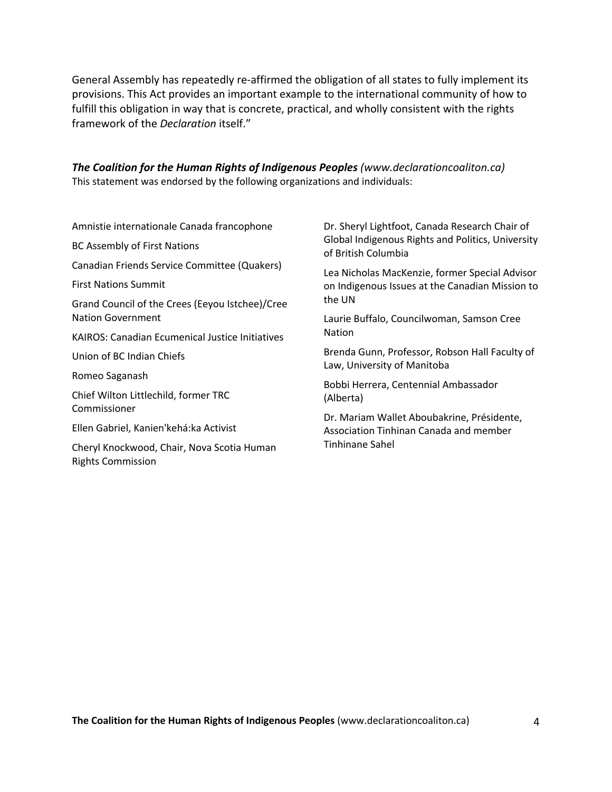General Assembly has repeatedly re-affirmed the obligation of all states to fully implement its provisions. This Act provides an important example to the international community of how to fulfill this obligation in way that is concrete, practical, and wholly consistent with the rights framework of the *Declaration* itself."

*The Coalition for the Human Rights of Indigenous Peoples (www.declarationcoaliton.ca)* This statement was endorsed by the following organizations and individuals:

Amnistie internationale Canada francophone BC Assembly of First Nations Canadian Friends Service Committee (Quakers) First Nations Summit Grand Council of the Crees (Eeyou Istchee)/Cree Nation Government KAIROS: Canadian Ecumenical Justice Initiatives Union of BC Indian Chiefs Romeo Saganash Chief Wilton Littlechild, former TRC Commissioner Ellen Gabriel, Kanien'kehá:ka Activist

Cheryl Knockwood, Chair, Nova Scotia Human Rights Commission

Dr. Sheryl Lightfoot, Canada Research Chair of Global Indigenous Rights and Politics, University of British Columbia

Lea Nicholas MacKenzie, former Special Advisor on Indigenous Issues at the Canadian Mission to the UN

Laurie Buffalo, Councilwoman, Samson Cree Nation

Brenda Gunn, Professor, Robson Hall Faculty of Law, University of Manitoba

Bobbi Herrera, Centennial Ambassador (Alberta)

Dr. Mariam Wallet Aboubakrine, Présidente, Association Tinhinan Canada and member Tinhinane Sahel